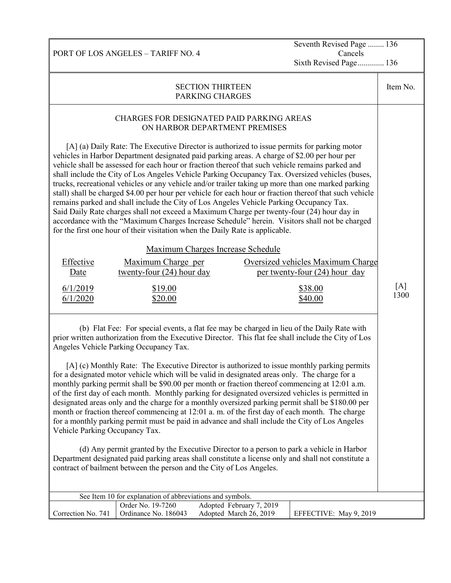Seventh Revised Page ........ 136 Cancels Sixth Revised Page............. 136

| <b>SECTION THIRTEEN</b><br><b>PARKING CHARGES</b>                                                                                                                                                                                                                                                                                                                                                                                                                                                                                                                                                                                                                                                                                                                                                                                                                                                                                                                                                                                                                                                                                                                                                                                                                        |                                                           |                                                    |                        |             |  |
|--------------------------------------------------------------------------------------------------------------------------------------------------------------------------------------------------------------------------------------------------------------------------------------------------------------------------------------------------------------------------------------------------------------------------------------------------------------------------------------------------------------------------------------------------------------------------------------------------------------------------------------------------------------------------------------------------------------------------------------------------------------------------------------------------------------------------------------------------------------------------------------------------------------------------------------------------------------------------------------------------------------------------------------------------------------------------------------------------------------------------------------------------------------------------------------------------------------------------------------------------------------------------|-----------------------------------------------------------|----------------------------------------------------|------------------------|-------------|--|
| <b>CHARGES FOR DESIGNATED PAID PARKING AREAS</b><br>ON HARBOR DEPARTMENT PREMISES<br>[A] (a) Daily Rate: The Executive Director is authorized to issue permits for parking motor<br>vehicles in Harbor Department designated paid parking areas. A charge of \$2.00 per hour per<br>vehicle shall be assessed for each hour or fraction thereof that such vehicle remains parked and<br>shall include the City of Los Angeles Vehicle Parking Occupancy Tax. Oversized vehicles (buses,<br>trucks, recreational vehicles or any vehicle and/or trailer taking up more than one marked parking<br>stall) shall be charged \$4.00 per hour per vehicle for each hour or fraction thereof that such vehicle<br>remains parked and shall include the City of Los Angeles Vehicle Parking Occupancy Tax.<br>Said Daily Rate charges shall not exceed a Maximum Charge per twenty-four (24) hour day in<br>accordance with the "Maximum Charges Increase Schedule" herein. Visitors shall not be charged<br>for the first one hour of their visitation when the Daily Rate is applicable.<br>Maximum Charges Increase Schedule<br>Effective<br>Maximum Charge per<br>Oversized vehicles Maximum Charge<br>twenty-four $(24)$ hour day<br>per twenty-four (24) hour day<br>Date |                                                           |                                                    |                        |             |  |
| 6/1/2019<br>6/1/2020                                                                                                                                                                                                                                                                                                                                                                                                                                                                                                                                                                                                                                                                                                                                                                                                                                                                                                                                                                                                                                                                                                                                                                                                                                                     | \$19.00<br>\$20.00                                        |                                                    | \$38.00<br>\$40.00     | [A]<br>1300 |  |
| (b) Flat Fee: For special events, a flat fee may be charged in lieu of the Daily Rate with<br>prior written authorization from the Executive Director. This flat fee shall include the City of Los<br>Angeles Vehicle Parking Occupancy Tax.<br>[A] (c) Monthly Rate: The Executive Director is authorized to issue monthly parking permits<br>for a designated motor vehicle which will be valid in designated areas only. The charge for a<br>monthly parking permit shall be \$90.00 per month or fraction thereof commencing at 12:01 a.m.<br>of the first day of each month. Monthly parking for designated oversized vehicles is permitted in<br>designated areas only and the charge for a monthly oversized parking permit shall be \$180.00 per<br>month or fraction thereof commencing at 12:01 a.m. of the first day of each month. The charge<br>for a monthly parking permit must be paid in advance and shall include the City of Los Angeles<br>Vehicle Parking Occupancy Tax.<br>(d) Any permit granted by the Executive Director to a person to park a vehicle in Harbor<br>Department designated paid parking areas shall constitute a license only and shall not constitute a<br>contract of bailment between the person and the City of Los Angeles. |                                                           |                                                    |                        |             |  |
|                                                                                                                                                                                                                                                                                                                                                                                                                                                                                                                                                                                                                                                                                                                                                                                                                                                                                                                                                                                                                                                                                                                                                                                                                                                                          | See Item 10 for explanation of abbreviations and symbols. |                                                    |                        |             |  |
| Correction No. 741                                                                                                                                                                                                                                                                                                                                                                                                                                                                                                                                                                                                                                                                                                                                                                                                                                                                                                                                                                                                                                                                                                                                                                                                                                                       | Order No. 19-7260<br>Ordinance No. 186043                 | Adopted February 7, 2019<br>Adopted March 26, 2019 | EFFECTIVE: May 9, 2019 |             |  |